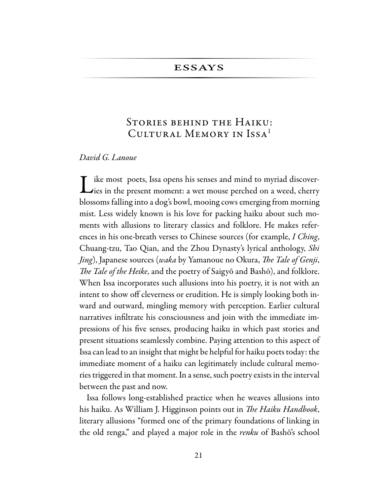## **ESSAYS**

# STORIES BEHIND THE HAIKU: CULTURAL MEMORY IN ISSA<sup>1</sup>

## David G. Lanoue

ike most poets, Issa opens his senses and mind to myriad discover-Like most poets, issa opens in verse. blossoms falling into a dog's bowl, mooing cows emerging from morning mist. Less widely known is his love for packing haiku about such moments with allusions to literary classics and folklore. He makes references in his one-breath verses to Chinese sources (for example, I Ching, Chuang-tzu, Tao Qian, and the Zhou Dynasty's lyrical anthology, Shi *Jing*), Japanese sources (*waka* by Yamanoue no Okura, *The Tale of Genji*, The Tale of the Heike, and the poetry of Saigyō and Bashō), and folklore. When Issa incorporates such allusions into his poetry, it is not with an intent to show off cleverness or erudition. He is simply looking both inward and outward, mingling memory with perception. Earlier cultural narratives infiltrate his consciousness and join with the immediate impressions of his five senses, producing haiku in which past stories and present situations seamlessly combine. Paying attention to this aspect of Issa can lead to an insight that might be helpful for haiku poets today: the immediate moment of a haiku can legitimately include cultural memories triggered in that moment. In a sense, such poetry exists in the interval between the past and now.

Issa follows long-established practice when he weaves allusions into his haiku. As William J. Higginson points out in The Haiku Handbook, literary allusions "formed one of the primary foundations of linking in the old renga," and played a major role in the *renku* of Bashō's school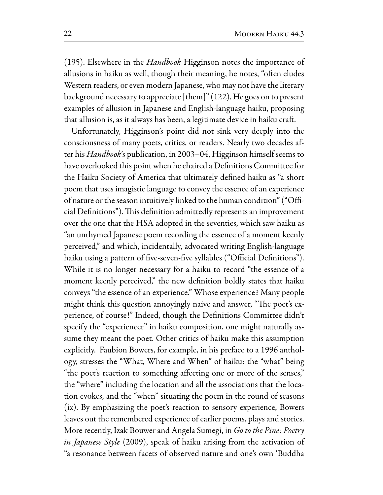(195). Elsewhere in the *Handbook* Higginson notes the importance of allusions in haiku as well, though their meaning, he notes, "often eludes Western readers, or even modern Japanese, who may not have the literary background necessary to appreciate [them]" (122). He goes on to present examples of allusion in Japanese and English-language haiku, proposing that allusion is, as it always has been, a legitimate device in haiku craft.

Unfortunately, Higginson's point did not sink very deeply into the consciousness of many poets, critics, or readers. Nearly two decades after his *Handbook's* publication, in 2003–04, Higginson himself seems to have overlooked this point when he chaired a Definitions Committee for the Haiku Society of America that ultimately defined haiku as "a short poem that uses imagistic language to convey the essence of an experience of nature or the season intuitively linked to the human condition" ("Official Definitions"). This definition admittedly represents an improvement over the one that the HSA adopted in the seventies, which saw haiku as "an unrhymed Japanese poem recording the essence of a moment keenly perceived," and which, incidentally, advocated writing English-language haiku using a pattern of five-seven-five syllables ("Official Definitions"). While it is no longer necessary for a haiku to record "the essence of a moment keenly perceived," the new definition boldly states that haiku conveys "the essence of an experience." Whose experience? Many people might think this question annoyingly naive and answer, "The poet's experience, of course!" Indeed, though the Definitions Committee didn't specify the "experiencer" in haiku composition, one might naturally assume they meant the poet. Other critics of haiku make this assumption explicitly. Faubion Bowers, for example, in his preface to a 1996 anthology, stresses the "What, Where and When" of haiku: the "what" being "the poet's reaction to something affecting one or more of the senses," the "where" including the location and all the associations that the location evokes, and the "when" situating the poem in the round of seasons (ix). By emphasizing the poet's reaction to sensory experience, Bowers leaves out the remembered experience of earlier poems, plays and stories. More recently, Izak Bouwer and Angela Sumegi, in Go to the Pine: Poetry in Japanese Style (2009), speak of haiku arising from the activation of a resonance between facets of observed nature and one's own 'Buddha'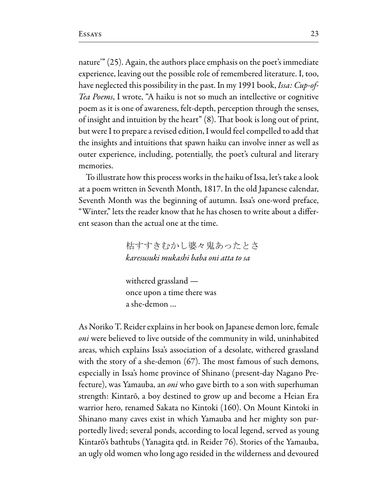nature" (25). Again, the authors place emphasis on the poet's immediate experience, leaving out the possible role of remembered literature. I, too, have neglected this possibility in the past. In my 1991 book, Issa: Cup-of-*Tea Poems*, I wrote, "A haiku is not so much an intellective or cognitive poem as it is one of awareness, felt-depth, perception through the senses, of insight and intuition by the heart" (8). That book is long out of print, but were I to prepare a revised edition, I would feel compelled to add that the insights and intuitions that spawn haiku can involve inner as well as outer experience, including, potentially, the poet's cultural and literary memories.

To illustrate how this process works in the haiku of Issa, let's take a look at a poem written in Seventh Month, 1817. In the old Japanese calendar, Seventh Month was the beginning of autumn. Issa's one-word preface, "Winter," lets the reader know that he has chosen to write about a different season than the actual one at the time.

> 枯すすきむかし婆々鬼あったとさ karesusuki mukashi baba oni atta to sa

withered grassland once upon a time there was a she-demon ...

As Noriko T. Reider explains in her book on Japanese demon lore, female *oni* were believed to live outside of the community in wild, uninhabited areas, which explains Issa's association of a desolate, withered grassland with the story of a she-demon  $(67)$ . The most famous of such demons, especially in Issa's home province of Shinano (present-day Nagano Prefecture), was Yamauba, an *oni* who gave birth to a son with superhuman strength: Kintarō, a boy destined to grow up and become a Heian Era warrior hero, renamed Sakata no Kintoki (160). On Mount Kintoki in Shinano many caves exist in which Yamauba and her mighty son purportedly lived; several ponds, according to local legend, served as young Kintarō's bathtubs (Yanagita qtd. in Reider 76). Stories of the Yamauba, an ugly old women who long ago resided in the wilderness and devoured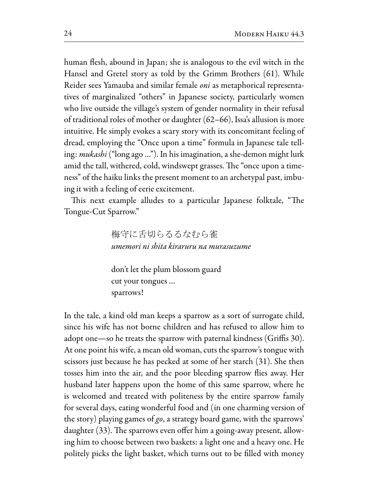human flesh, abound in Japan; she is analogous to the evil witch in the Hansel and Gretel story as told by the Grimm Brothers (61). While Reider sees Yamauba and similar female oni as metaphorical representatives of marginalized "others" in Japanese society, particularly women who live outside the village's system of gender normality in their refusal of traditional roles of mother or daughter  $(62-66)$ , Issa's allusion is more intuitive. He simply evokes a scary story with its concomitant feeling of dread, employing the "Once upon a time" formula in Japanese tale telling: *mukashi* ("long ago ..."). In his imagination, a she-demon might lurk amid the tall, withered, cold, windswept grasses. The "once upon a timeness" of the haiku links the present moment to an archetypal past, imbuing it with a feeling of eerie excitement.

This next example alludes to a particular Japanese folktale, "The Tongue-Cut Sparrow."

> 梅守に舌切らるるなむら雀 umemori ni shita kiraruru na murasuzume

don't let the plum blossom guard cut your tongues ... sparrows!

In the tale, a kind old man keeps a sparrow as a sort of surrogate child, since his wife has not borne children and has refused to allow him to adopt one—so he treats the sparrow with paternal kindness (Griffis 30). At one point his wife, a mean old woman, cuts the sparrow's tongue with scissors just because he has pecked at some of her starch (31). She then tosses him into the air, and the poor bleeding sparrow flies away. Her husband later happens upon the home of this same sparrow, where he is welcomed and treated with politeness by the entire sparrow family for several days, eating wonderful food and (in one charming version of the story) playing games of  $\mathfrak{go}$ , a strategy board game, with the sparrows' daughter (33). The sparrows even offer him a going-away present, allowing him to choose between two baskets: a light one and a heavy one. He politely picks the light basket, which turns out to be filled with money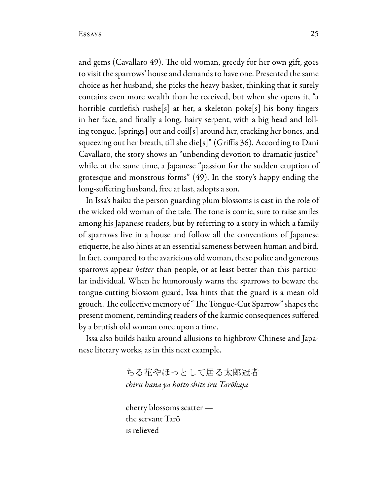and gems (Cavallaro 49). The old woman, greedy for her own gift, goes to visit the sparrows' house and demands to have one. Presented the same choice as her husband, she picks the heavy basket, thinking that it surely contains even more wealth than he received, but when she opens it, "a horrible cuttlefish rushe[s] at her, a skeleton poke[s] his bony fingers in her face, and finally a long, hairy serpent, with a big head and lolling tongue, [springs] out and coil[s] around her, cracking her bones, and squeezing out her breath, till she die[s]" (Griffis 36). According to Dani Cavallaro, the story shows an "unbending devotion to dramatic justice" while, at the same time, a Japanese "passion for the sudden eruption of grotesque and monstrous forms" (49). In the story's happy ending the long-suffering husband, free at last, adopts a son.

In Issa's haiku the person guarding plum blossoms is cast in the role of the wicked old woman of the tale. The tone is comic, sure to raise smiles among his Japanese readers, but by referring to a story in which a family of sparrows live in a house and follow all the conventions of Japanese etiquette, he also hints at an essential sameness between human and bird. In fact, compared to the avaricious old woman, these polite and generous sparrows appear *better* than people, or at least better than this particular individual. When he humorously warns the sparrows to beware the tongue-cutting blossom guard, Issa hints that the guard is a mean old grouch. The collective memory of "The Tongue-Cut Sparrow" shapes the present moment, reminding readers of the karmic consequences suffered by a brutish old woman once upon a time.

Issa also builds haiku around allusions to highbrow Chinese and Japanese literary works, as in this next example.

> ちる花やほっとして居る太郎冠者 chiru hana ya hotto shite iru Tarōkaja

cherry blossoms scatter the servant Tarō is relieved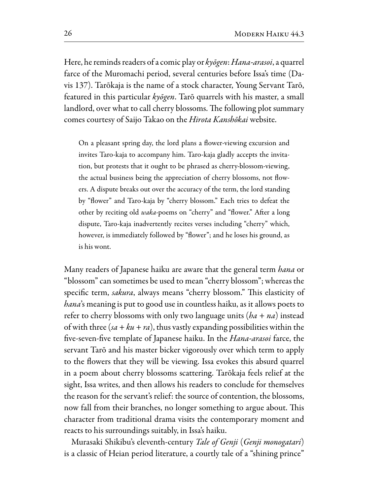Here, he reminds readers of a comic play or kyōgen: Hana-arasoi, a quarrel farce of the Muromachi period, several centuries before Issa's time (Davis 137). Tarōkaja is the name of a stock character, Young Servant Tarō, featured in this particular kyōgen. Tarō quarrels with his master, a small landlord, over what to call cherry blossoms. The following plot summary comes courtesy of Saijo Takao on the Hirota Kanshōkai website.

On a pleasant spring day, the lord plans a flower-viewing excursion and invites Taro-kaja to accompany him. Taro-kaja gladly accepts the invitation, but protests that it ought to be phrased as cherry-blossom-viewing, the actual business being the appreciation of cherry blossoms, not flowers. A dispute breaks out over the accuracy of the term, the lord standing by "flower" and Taro-kaja by "cherry blossom." Each tries to defeat the other by reciting old waka-poems on "cherry" and "flower." After a long dispute, Taro-kaja inadvertently recites verses including "cherry" which, however, is immediately followed by "flower"; and he loses his ground, as is his wont.

Many readers of Japanese haiku are aware that the general term *hana* or "blossom" can sometimes be used to mean "cherry blossom"; whereas the specific term, *sakura*, always means "cherry blossom." This elasticity of hana's meaning is put to good use in countless haiku, as it allows poets to refer to cherry blossoms with only two language units  $(ha + na)$  instead of with three  $(sa + ku + ra)$ , thus vastly expanding possibilities within the five-seven-five template of Japanese haiku. In the *Hana-arasoi* farce, the servant Tarō and his master bicker vigorously over which term to apply to the flowers that they will be viewing. Issa evokes this absurd quarrel in a poem about cherry blossoms scattering. Tarōkaja feels relief at the sight, Issa writes, and then allows his readers to conclude for themselves the reason for the servant's relief: the source of contention, the blossoms, now fall from their branches, no longer something to argue about. This character from traditional drama visits the contemporary moment and reacts to his surroundings suitably, in Issa's haiku.

Murasaki Shikibu's eleventh-century Tale of Genji (Genji monogatari) is a classic of Heian period literature, a courtly tale of a "shining prince"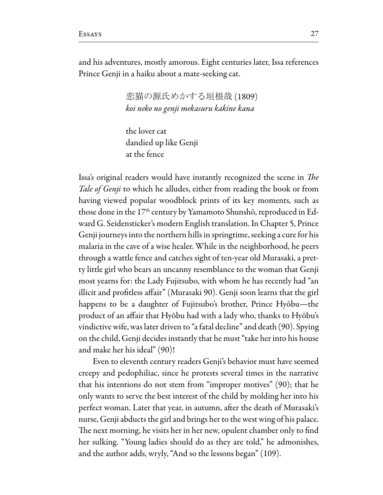and his adventures, mostly amorous. Eight centuries later, Issa references Prince Genji in a haiku about a mate-seeking cat.

> 恋猫の源氏めかする垣根哉(1809) koi neko no genji mekasuru kakine kana

the lover cat dandied up like Genji at the fence

Issa's original readers would have instantly recognized the scene in The Tale of Genji to which he alludes, either from reading the book or from having viewed popular woodblock prints of its key moments, such as those done in the 17<sup>th</sup> century by Yamamoto Shunshō, reproduced in Edward G. Seidensticker's modern English translation. In Chapter 5, Prince Genji journeys into the northern hills in springtime, seeking a cure for his malaria in the cave of a wise healer. While in the neighborhood, he peers through a wattle fence and catches sight of ten-year old Murasaki, a pretty little girl who bears an uncanny resemblance to the woman that Genji most yearns for: the Lady Fujitsubo, with whom he has recently had "an illicit and profitless affair" (Murasaki 90). Genji soon learns that the girl happens to be a daughter of Fujitsubo's brother, Prince Hyōbu-the product of an affair that Hyōbu had with a lady who, thanks to Hyōbu's vindictive wife, was later driven to "a fatal decline" and death (90). Spying on the child, Genji decides instantly that he must "take her into his house and make her his ideal" (90)!

Even to eleventh century readers Genji's behavior must have seemed creepy and pedophiliac, since he protests several times in the narrative that his intentions do not stem from "improper motives"  $(90)$ ; that he only wants to serve the best interest of the child by molding her into his perfect woman. Later that year, in autumn, after the death of Murasaki's nurse, Genji abducts the girl and brings her to the west wing of his palace. The next morning, he visits her in her new, opulent chamber only to find her sulking. "Young ladies should do as they are told," he admonishes, and the author adds, wryly, "And so the lessons began" (109).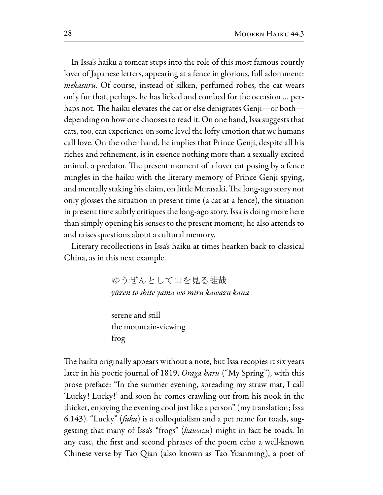In Issa's haiku a tomcat steps into the role of this most famous courtly lover of Japanese letters, appearing at a fence in glorious, full adornment: *mekasuru*. Of course, instead of silken, perfumed robes, the cat wears only fur that, perhaps, he has licked and combed for the occasion ... perhaps not. The haiku elevates the cat or else denigrates Genji-or bothdepending on how one chooses to read it. On one hand, Issa suggests that cats, too, can experience on some level the lofty emotion that we humans call love. On the other hand, he implies that Prince Genji, despite all his riches and refinement, is in essence nothing more than a sexually excited animal, a predator. The present moment of a lover cat posing by a fence mingles in the haiku with the literary memory of Prince Genji spying, and mentally staking his claim, on little Murasaki. The long-ago story not only glosses the situation in present time (a cat at a fence), the situation in present time subtly critiques the long-ago story. Issa is doing more here than simply opening his senses to the present moment; he also attends to and raises questions about a cultural memory.

Literary recollections in Issa's haiku at times hearken back to classical China, as in this next example.

> ゆうぜんとして山を見る蛙哉 yūzen to shite yama wo miru kawazu kana

serene and still the mountain-viewing frog

The haiku originally appears without a note, but Issa recopies it six years later in his poetic journal of 1819, Oraga haru ("My Spring"), with this prose preface: "In the summer evening, spreading my straw mat, I call 'Lucky! Lucky!' and soon he comes crawling out from his nook in the thicket, enjoying the evening cool just like a person" (my translation; Issa 6.143). "Lucky" (fuku) is a colloquialism and a pet name for toads, suggesting that many of Issa's "frogs" (kawazu) might in fact be toads. In any case, the first and second phrases of the poem echo a well-known Chinese verse by Tao Qian (also known as Tao Yuanming), a poet of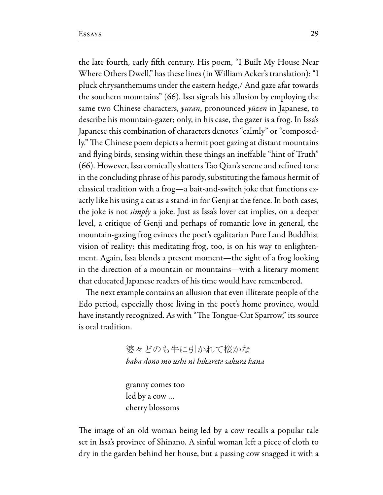the late fourth, early fifth century. His poem, "I Built My House Near Where Others Dwell," has these lines (in William Acker's translation): "I pluck chrysanthemums under the eastern hedge, And gaze afar towards the southern mountains" (66). Issa signals his allusion by employing the same two Chinese characters, *yuran*, pronounced *yūzen* in Japanese, to describe his mountain-gazer; only, in his case, the gazer is a frog. In Issa's Japanese this combination of characters denotes "calmly" or "composedly." The Chinese poem depicts a hermit poet gazing at distant mountains and flying birds, sensing within these things an ineffable "hint of Truth" (66). However, Issa comically shatters Tao Qian's serene and refined tone in the concluding phrase of his parody, substituting the famous hermit of classical tradition with a frog-a bait-and-switch joke that functions exactly like his using a cat as a stand-in for Genji at the fence. In both cases, the joke is not *simply* a joke. Just as Issa's lover cat implies, on a deeper level, a critique of Genji and perhaps of romantic love in general, the mountain-gazing frog evinces the poet's egalitarian Pure Land Buddhist vision of reality: this meditating frog, too, is on his way to enlightenment. Again, Issa blends a present moment—the sight of a frog looking in the direction of a mountain or mountains—with a literary moment that educated Japanese readers of his time would have remembered.

The next example contains an allusion that even illiterate people of the Edo period, especially those living in the poet's home province, would have instantly recognized. As with "The Tongue-Cut Sparrow," its source is oral tradition.

> 婆々どのも牛に引かれて桜かな baba dono mo ushi ni hikarete sakura kana

granny comes too led by a cow ... cherry blossoms

The image of an old woman being led by a cow recalls a popular tale set in Issa's province of Shinano. A sinful woman left a piece of cloth to dry in the garden behind her house, but a passing cow snagged it with a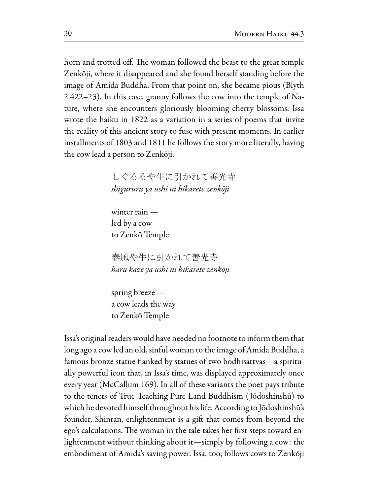horn and trotted off. The woman followed the beast to the great temple Zenkōji, where it disappeared and she found herself standing before the image of Amida Buddha. From that point on, she became pious (Blyth 2.422-23). In this case, granny follows the cow into the temple of Nature, where she encounters gloriously blooming cherry blossoms. Issa wrote the haiku in 1822 as a variation in a series of poems that invite the reality of this ancient story to fuse with present moments. In earlier installments of 1803 and 1811 he follows the story more literally, having the cow lead a person to Zenkōji.

> しぐるるや牛に引かれて善光寺 shigururu ya ushi ni hikarete zenkōji

winter rain  $$ led by a cow to Zenkō Temple

春風や牛に引かれて善光寺 haru kaze ya ushi ni hikarete zenkōji

spring breeze  $$ a cow leads the way to Zenkō Temple

Issa's original readers would have needed no footnote to inform them that long ago a cow led an old, sinful woman to the image of Amida Buddha, a famous bronze statue flanked by statues of two bodhisattvas—a spiritually powerful icon that, in Issa's time, was displayed approximately once every year (McCallum 169). In all of these variants the poet pays tribute to the tenets of True Teaching Pure Land Buddhism (Jōdoshinshū) to which he devoted himself throughout his life. According to Jōdoshinshū's founder, Shinran, enlightenment is a gift that comes from beyond the ego's calculations. The woman in the tale takes her first steps toward enlightenment without thinking about it—simply by following a cow: the embodiment of Amida's saving power. Issa, too, follows cows to Zenkōji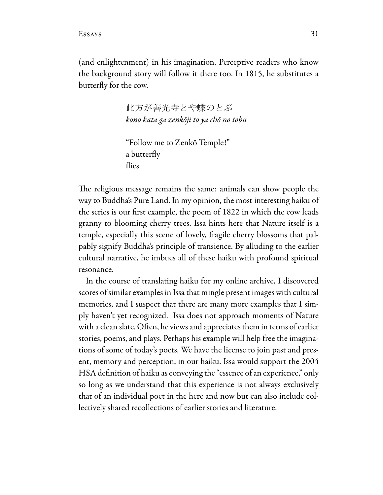(and enlightenment) in his imagination. Perceptive readers who know the background story will follow it there too. In 1815, he substitutes a butterfly for the cow.

> 此方が善光寺とや蝶のとぶ kono kata ga zenkōji to ya chō no tobu

```
"Follow me to Zenkō Temple!"
a butterfly
flies
```
The religious message remains the same: animals can show people the way to Buddha's Pure Land. In my opinion, the most interesting haiku of the series is our first example, the poem of 1822 in which the cow leads granny to blooming cherry trees. Issa hints here that Nature itself is a temple, especially this scene of lovely, fragile cherry blossoms that palpably signify Buddha's principle of transience. By alluding to the earlier cultural narrative, he imbues all of these haiku with profound spiritual resonance.

In the course of translating haiku for my online archive, I discovered scores of similar examples in Issa that mingle present images with cultural memories, and I suspect that there are many more examples that I simply haven't yet recognized. Issa does not approach moments of Nature with a clean slate. Often, he views and appreciates them in terms of earlier stories, poems, and plays. Perhaps his example will help free the imaginations of some of today's poets. We have the license to join past and present, memory and perception, in our haiku. Issa would support the 2004 HSA definition of haiku as conveying the "essence of an experience," only so long as we understand that this experience is not always exclusively that of an individual poet in the here and now but can also include collectively shared recollections of earlier stories and literature.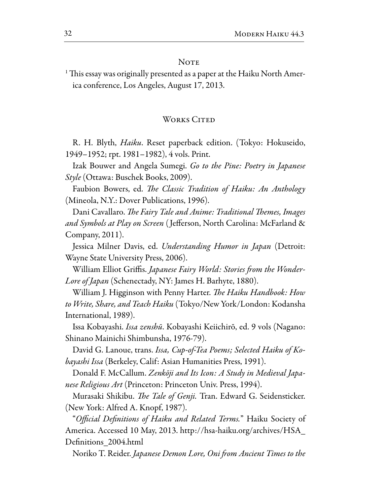### **NOTE**

<sup>1</sup> This essay was originally presented as a paper at the Haiku North America conference, Los Angeles, August 17, 2013.

#### WORKS CITED

R. H. Blyth, *Haiku*. Reset paperback edition. (Tokyo: Hokuseido, 1949–1952; rpt. 1981–1982), 4 vols. Print.

Izak Bouwer and Angela Sumegi. Go to the Pine: Poetry in Japanese *Style* (Ottawa: Buschek Books, 2009).

Faubion Bowers, ed. The Classic Tradition of Haiku: An Anthology (Mineola, N.Y.: Dover Publications, 1996).

Dani Cavallaro. The Fairy Tale and Anime: Traditional Themes, Images and Symbols at Play on Screen (Jefferson, North Carolina: McFarland & Company, 2011).

Jessica Milner Davis, ed. Understanding Humor in Japan (Detroit: Wayne State University Press, 2006).

William Elliot Griffis. *Japanese Fairy World: Stories from the Wonder-Lore of Japan* (Schenectady, NY: James H. Barhyte, 1880).

William J. Higginson with Penny Harter. *The Haiku Handbook: How* to Write, Share, and Teach Haiku (Tokyo/New York/London: Kodansha International, 1989).

Issa Kobayashi. Issa zenshū. Kobayashi Keiichirō, ed. 9 vols (Nagano: Shinano Mainichi Shimbunsha, 1976-79).

David G. Lanoue, trans. Issa, Cup-of-Tea Poems; Selected Haiku of Ko*bayashi Issa* (Berkeley, Calif: Asian Humanities Press, 1991).

Donald F. McCallum. Zenkōji and Its Icon: A Study in Medieval Japanese Religious Art (Princeton: Princeton Univ. Press, 1994).

Murasaki Shikibu. The Tale of Genji. Tran. Edward G. Seidensticker. (New York: Alfred A. Knopf, 1987).

*"Official Definitions of Haiku and Related Terms."* Haiku Society of America. Accessed 10 May, 2013. http://hsa-haiku.org/archives/HSA\_ Definitions 2004.html

Noriko T. Reider. Japanese Demon Lore, Oni from Ancient Times to the